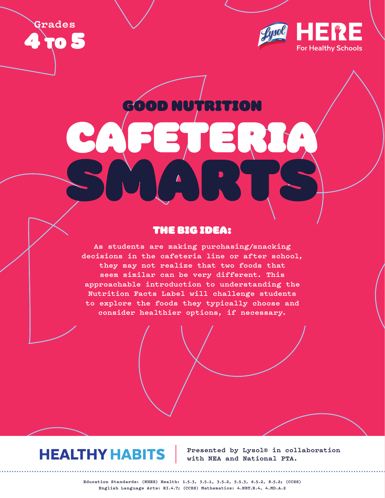**Grades 70 S** 



GOOD NUTRI

CAFETERIA

SMARTS

# THE BIG IDEA:

**As students are making purchasing/snacking decisions in the cafeteria line or after school, they may not realize that two foods that seem similar can be very different. This approachable introduction to understanding the Nutrition Facts Label will challenge students to explore the foods they typically choose and consider healthier options, if necessary.**

# **HEALTHY HABITS**

**Presented by Lysol® in collaboration with NEA and National PTA.**

**Education Standards: (NHES) Health: 1.5.3, 3.5.1, 3.5.2, 5.5.3, 6.5.2, 8.5.2; (CCSS) English Language Arts: RI.4.7; (CCSS) Mathematics: 4.NBT.B.4, 4.MD.A.2**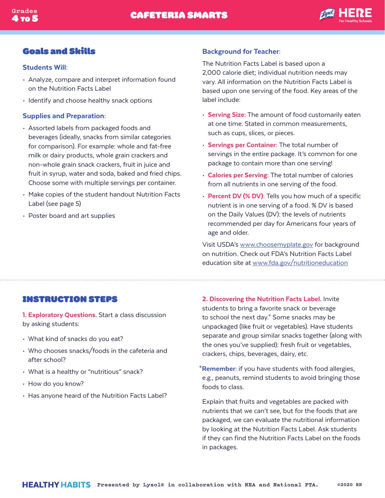

## Goals and Skills

#### Students Will:

- Analyze, compare and interpret information found on the Nutrition Facts Label
- Identify and choose healthy snack options

#### Supplies and Preparation:

- Assorted labels from packaged foods and beverages (ideally, snacks from similar categories for comparison). For example: whole and fat-free milk or dairy products, whole grain crackers and non-whole grain snack crackers, fruit in juice and fruit in syrup, water and soda, baked and fried chips. Choose some with multiple servings per container.
- Make copies of the student handout Nutrition Facts Label (see page 5)
- Poster board and art supplies

#### Background for Teacher:

The Nutrition Facts Label is based upon a 2,000 calorie diet; individual nutrition needs may vary. All information on the Nutrition Facts Label is based upon one serving of the food. Key areas of the label include:

- Serving Size: The amount of food customarily eaten at one time. Stated in common measurements, such as cups, slices, or pieces.
- Servings per Container: The total number of servings in the entire package. It's common for one package to contain more than one serving!
- Calories per Serving: The total number of calories from all nutrients in one serving of the food.
- Percent DV (% DV): Tells you how much of a specific nutrient is in one serving of a food. % DV is based on the Daily Values (DV): the levels of nutrients recommended per day for Americans four years of age and older.

Visit USDA's www.choosemyplate.gov for background on nutrition. Check out FDA's Nutrition Facts Label education site at www.fda.gov/nutritioneducation

## INSTRUCTION STEPS

1. Exploratory Questions. Start a class discussion by asking students:

- What kind of snacks do you eat?
- Who chooses snacks/foods in the cafeteria and after school?
- What is a healthy or "nutritious" snack?
- How do you know?
- Has anyone heard of the Nutrition Facts Label?

2. Discovering the Nutrition Facts Label. Invite students to bring a favorite snack or beverage to school the next day.\* Some snacks may be unpackaged (like fruit or vegetables). Have students separate and group similar snacks together (along with the ones you've supplied): fresh fruit or vegetables, crackers, chips, beverages, dairy, etc.

\*Remember: if you have students with food allergies, e.g., peanuts, remind students to avoid bringing those foods to class.

Explain that fruits and vegetables are packed with nutrients that we can't see, but for the foods that are packaged, we can evaluate the nutritional information by looking at the Nutrition Facts Label. Ask students if they can find the Nutrition Facts Label on the foods in packages.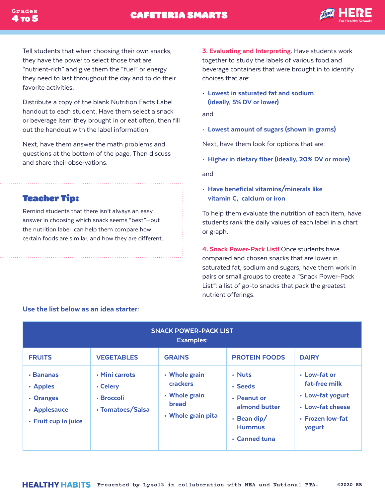

Tell students that when choosing their own snacks, they have the power to select those that are "nutrient-rich" and give them the "fuel" or energy they need to last throughout the day and to do their favorite activities.

Distribute a copy of the blank Nutrition Facts Label handout to each student. Have them select a snack or beverage item they brought in or eat often, then fill out the handout with the label information.

Next, have them answer the math problems and questions at the bottom of the page. Then discuss and share their observations.

Teacher Tip:

Remind students that there isn't always an easy answer in choosing which snack seems "best"—but the nutrition label can help them compare how certain foods are similar, and how they are different.

3. Evaluating and Interpreting. Have students work together to study the labels of various food and beverage containers that were brought in to identify choices that are:

• Lowest in saturated fat and sodium (ideally, 5% DV or lower)

and

• Lowest amount of sugars (shown in grams)

Next, have them look for options that are:

• Higher in dietary fiber (ideally, 20% DV or more)

and

• Have beneficial vitamins/minerals like vitamin C, calcium or iron

To help them evaluate the nutrition of each item, have students rank the daily values of each label in a chart or graph.

4. Snack Power-Pack List! Once students have compared and chosen snacks that are lower in saturated fat, sodium and sugars, have them work in pairs or small groups to create a "Snack Power-Pack List": a list of go-to snacks that pack the greatest nutrient offerings.

| <b>SNACK POWER-PACK LIST</b><br><b>Examples:</b>                                 |                                                              |                                                                                         |                                                                                                          |                                                                                                     |  |  |
|----------------------------------------------------------------------------------|--------------------------------------------------------------|-----------------------------------------------------------------------------------------|----------------------------------------------------------------------------------------------------------|-----------------------------------------------------------------------------------------------------|--|--|
| <b>FRUITS</b>                                                                    | <b>VEGETABLES</b>                                            | <b>GRAINS</b>                                                                           | <b>PROTEIN FOODS</b>                                                                                     | <b>DAIRY</b>                                                                                        |  |  |
| $\cdot$ Bananas<br>• Apples<br>• Oranges<br>• Applesauce<br>· Fruit cup in juice | · Mini carrots<br>• Celery<br>· Broccoli<br>· Tomatoes/Salsa | • Whole grain<br><b>crackers</b><br>• Whole grain<br><b>bread</b><br>• Whole grain pita | • Nuts<br>• Seeds<br>• Peanut or<br>almond butter<br>$\cdot$ Bean dip/<br><b>Hummus</b><br>• Canned tuna | • Low-fat or<br>fat-free milk<br>• Low-fat yogurt<br>• Low-fat cheese<br>· Frozen low-fat<br>yogurt |  |  |

### Use the list below as an idea starter: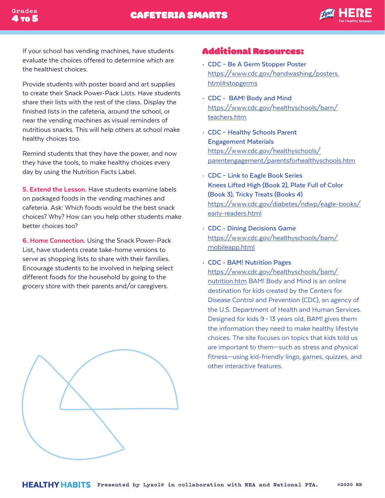If your school has vending machines, have students evaluate the choices offered to determine which are the healthiest choices.

4 TO 5

Provide students with poster board and art supplies to create their Snack Power-Pack Lists. Have students share their lists with the rest of the class. Display the finished lists in the cafeteria, around the school, or near the vending machines as visual reminders of nutritious snacks. This will help others at school make healthy choices too.

Remind students that they have the power, and now they have the tools, to make healthy choices every day by using the Nutrition Facts Label.

5. Extend the Lesson. Have students examine labels on packaged foods in the vending machines and cafeteria. Ask: Which foods would be the best snack choices? Why? How can you help other students make better choices too?

6. Home Connection. Using the Snack Power-Pack List, have students create take-home versions to serve as shopping lists to share with their families. Encourage students to be involved in helping select different foods for the household by going to the grocery store with their parents and/or caregivers.



## Additional Resources:

- **CDC Be A Germ Stopper Poster**  https://www.cdc.gov/handwashing/posters. html#stopgerms
- **CDC BAM! Body and Mind** https://www.cdc.gov/healthyschools/bam/ teachers.htm
- **CDC Healthy Schools Parent Engagement Materials**  https://www.cdc.gov/healthyschools/ parentengagement/parentsforhealthyschools.htm
- **CDC Link to Eagle Book Series Knees Lifted High (Book 2), Plate Full of Color (Book 3), Tricky Treats (Books 4)** https://www.cdc.gov/diabetes/ndwp/eagle-books/ early-readers.html
- **CDC Dining Decisions Game**  https://www.cdc.gov/healthyschools/bam/ mobileapp.html
- **CDC BAM! Nutrition Pages**

https://www.cdc.gov/healthyschools/bam/ nutrition.htm BAM! Body and Mind is an online destination for kids created by the Centers for Disease Control and Prevention (CDC), an agency of the U.S. Department of Health and Human Services. Designed for kids 9– 13 years old, BAM! gives them the information they need to make healthy lifestyle choices. The site focuses on topics that kids told us are important to them—such as stress and physical fitness—using kid-friendly lingo, games, quizzes, and other interactive features.